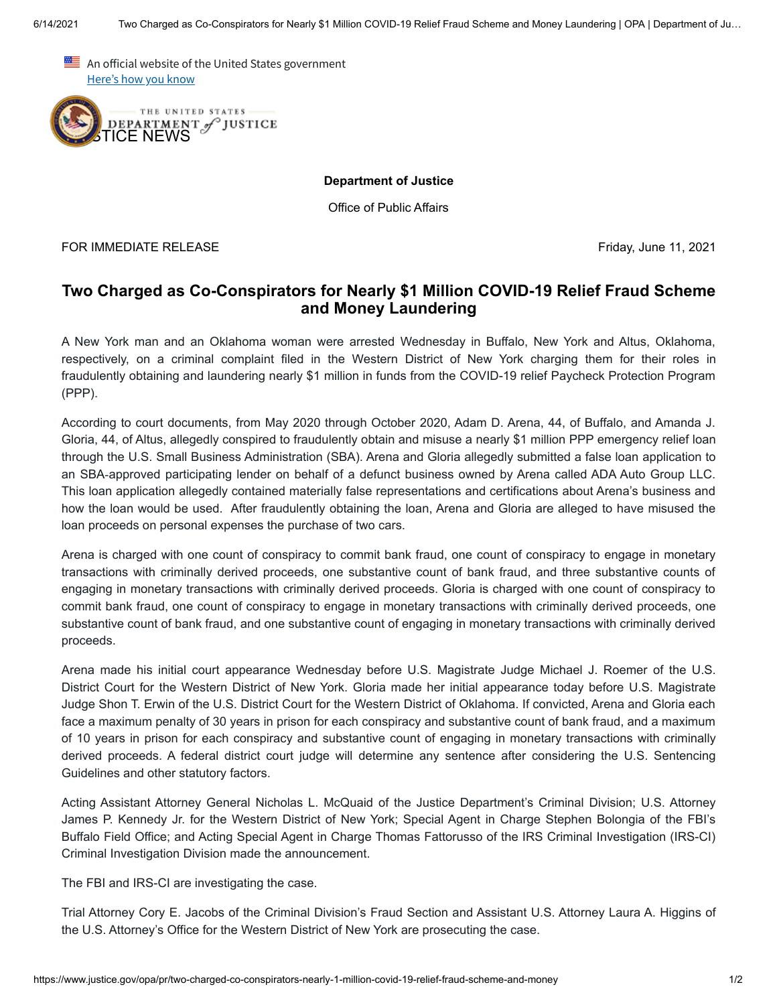An official website of the United States government Here's how you know



**Department of Justice**

Office of Public Affairs

FOR IMMEDIATE RELEASE Friday, June 11, 2021

## **Two Charged as Co-Conspirators for Nearly \$1 Million COVID-19 Relief Fraud Scheme and Money Laundering**

A New York man and an Oklahoma woman were arrested Wednesday in Buffalo, New York and Altus, Oklahoma, respectively, on a criminal complaint filed in the Western District of New York charging them for their roles in fraudulently obtaining and laundering nearly \$1 million in funds from the COVID-19 relief Paycheck Protection Program (PPP).

According to court documents, from May 2020 through October 2020, Adam D. Arena, 44, of Buffalo, and Amanda J. Gloria, 44, of Altus, allegedly conspired to fraudulently obtain and misuse a nearly \$1 million PPP emergency relief loan through the U.S. Small Business Administration (SBA). Arena and Gloria allegedly submitted a false loan application to an SBA‑approved participating lender on behalf of a defunct business owned by Arena called ADA Auto Group LLC. This loan application allegedly contained materially false representations and certifications about Arena's business and how the loan would be used. After fraudulently obtaining the loan, Arena and Gloria are alleged to have misused the loan proceeds on personal expenses the purchase of two cars.

Arena is charged with one count of conspiracy to commit bank fraud, one count of conspiracy to engage in monetary transactions with criminally derived proceeds, one substantive count of bank fraud, and three substantive counts of engaging in monetary transactions with criminally derived proceeds. Gloria is charged with one count of conspiracy to commit bank fraud, one count of conspiracy to engage in monetary transactions with criminally derived proceeds, one substantive count of bank fraud, and one substantive count of engaging in monetary transactions with criminally derived proceeds.

Arena made his initial court appearance Wednesday before U.S. Magistrate Judge Michael J. Roemer of the U.S. District Court for the Western District of New York. Gloria made her initial appearance today before U.S. Magistrate Judge Shon T. Erwin of the U.S. District Court for the Western District of Oklahoma. If convicted, Arena and Gloria each face a maximum penalty of 30 years in prison for each conspiracy and substantive count of bank fraud, and a maximum of 10 years in prison for each conspiracy and substantive count of engaging in monetary transactions with criminally derived proceeds. A federal district court judge will determine any sentence after considering the U.S. Sentencing Guidelines and other statutory factors.

Acting Assistant Attorney General Nicholas L. McQuaid of the Justice Department's Criminal Division; U.S. Attorney James P. Kennedy Jr. for the Western District of New York; Special Agent in Charge Stephen Bolongia of the FBI's Buffalo Field Office; and Acting Special Agent in Charge Thomas Fattorusso of the IRS Criminal Investigation (IRS-CI) Criminal Investigation Division made the announcement.

The FBI and IRS-CI are investigating the case.

Trial Attorney Cory E. Jacobs of the Criminal Division's Fraud Section and Assistant U.S. Attorney Laura A. Higgins of the U.S. Attorney's Office for the Western District of New York are prosecuting the case.